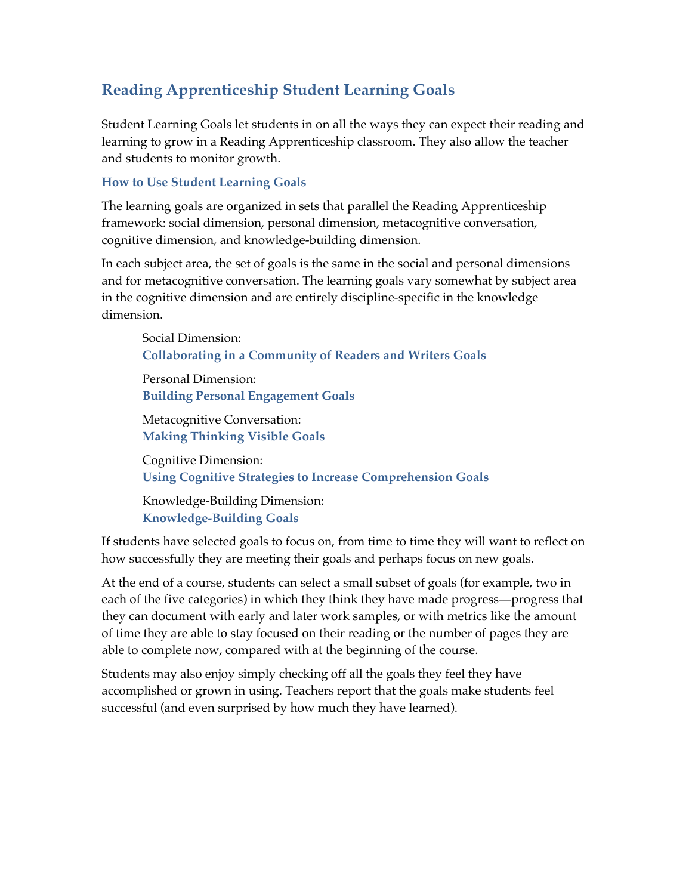## **Reading Apprenticeship Student Learning Goals**

Student Learning Goals let students in on all the ways they can expect their reading and learning to grow in a Reading Apprenticeship classroom. They also allow the teacher and students to monitor growth.

## **How to Use Student Learning Goals**

The learning goals are organized in sets that parallel the Reading Apprenticeship framework: social dimension, personal dimension, metacognitive conversation, cognitive dimension, and knowledge-building dimension.

In each subject area, the set of goals is the same in the social and personal dimensions and for metacognitive conversation. The learning goals vary somewhat by subject area in the cognitive dimension and are entirely discipline-specific in the knowledge dimension.

Social Dimension: **Collaborating in a Community of Readers and Writers Goals**

Personal Dimension: **Building Personal Engagement Goals**

Metacognitive Conversation: **Making Thinking Visible Goals**

Cognitive Dimension: **Using Cognitive Strategies to Increase Comprehension Goals**

Knowledge-Building Dimension: **Knowledge-Building Goals**

If students have selected goals to focus on, from time to time they will want to reflect on how successfully they are meeting their goals and perhaps focus on new goals.

At the end of a course, students can select a small subset of goals (for example, two in each of the five categories) in which they think they have made progress—progress that they can document with early and later work samples, or with metrics like the amount of time they are able to stay focused on their reading or the number of pages they are able to complete now, compared with at the beginning of the course.

Students may also enjoy simply checking off all the goals they feel they have accomplished or grown in using. Teachers report that the goals make students feel successful (and even surprised by how much they have learned).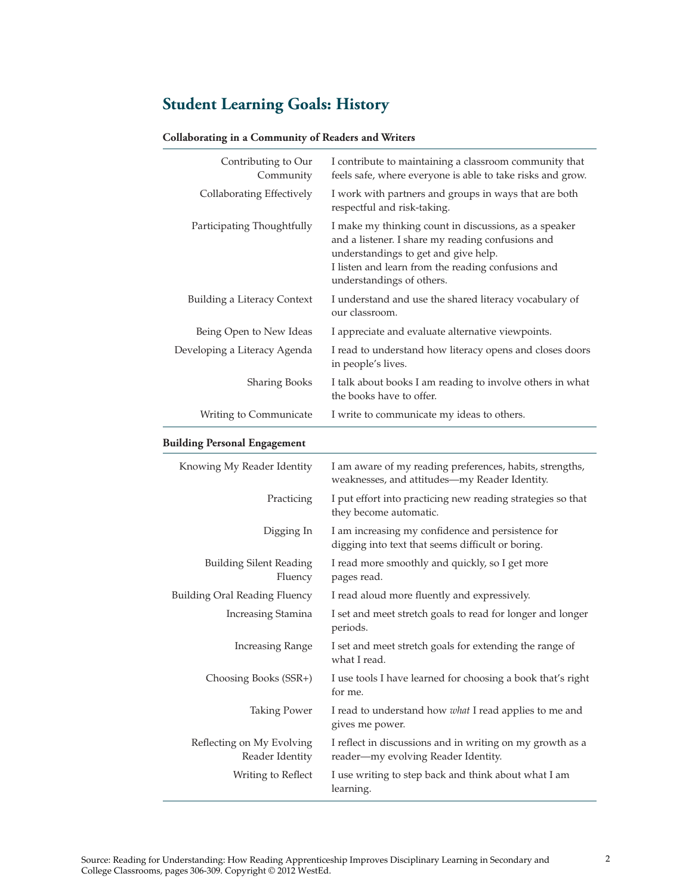# **Student Learning Goals: History**

#### **Collaborating in a Community of Readers and Writers**

| Contributing to Our<br>Community | I contribute to maintaining a classroom community that<br>feels safe, where everyone is able to take risks and grow.                                                                                                                  |
|----------------------------------|---------------------------------------------------------------------------------------------------------------------------------------------------------------------------------------------------------------------------------------|
| Collaborating Effectively        | I work with partners and groups in ways that are both<br>respectful and risk-taking.                                                                                                                                                  |
| Participating Thoughtfully       | I make my thinking count in discussions, as a speaker<br>and a listener. I share my reading confusions and<br>understandings to get and give help.<br>I listen and learn from the reading confusions and<br>understandings of others. |
| Building a Literacy Context      | I understand and use the shared literacy vocabulary of<br>our classroom.                                                                                                                                                              |
| Being Open to New Ideas          | I appreciate and evaluate alternative viewpoints.                                                                                                                                                                                     |
| Developing a Literacy Agenda     | I read to understand how literacy opens and closes doors<br>in people's lives.                                                                                                                                                        |
| <b>Sharing Books</b>             | I talk about books I am reading to involve others in what<br>the books have to offer.                                                                                                                                                 |
| Writing to Communicate           | I write to communicate my ideas to others.                                                                                                                                                                                            |

### **Building Personal Engagement**

| Knowing My Reader Identity                   | I am aware of my reading preferences, habits, strengths,<br>weaknesses, and attitudes-my Reader Identity. |
|----------------------------------------------|-----------------------------------------------------------------------------------------------------------|
| Practicing                                   | I put effort into practicing new reading strategies so that<br>they become automatic.                     |
| Digging In                                   | I am increasing my confidence and persistence for<br>digging into text that seems difficult or boring.    |
| <b>Building Silent Reading</b><br>Fluency    | I read more smoothly and quickly, so I get more<br>pages read.                                            |
| <b>Building Oral Reading Fluency</b>         | I read aloud more fluently and expressively.                                                              |
| Increasing Stamina                           | I set and meet stretch goals to read for longer and longer<br>periods.                                    |
| <b>Increasing Range</b>                      | I set and meet stretch goals for extending the range of<br>what I read.                                   |
| Choosing Books (SSR+)                        | I use tools I have learned for choosing a book that's right<br>for me.                                    |
| <b>Taking Power</b>                          | I read to understand how what I read applies to me and<br>gives me power.                                 |
| Reflecting on My Evolving<br>Reader Identity | I reflect in discussions and in writing on my growth as a<br>reader—my evolving Reader Identity.          |
| Writing to Reflect                           | I use writing to step back and think about what I am<br>learning.                                         |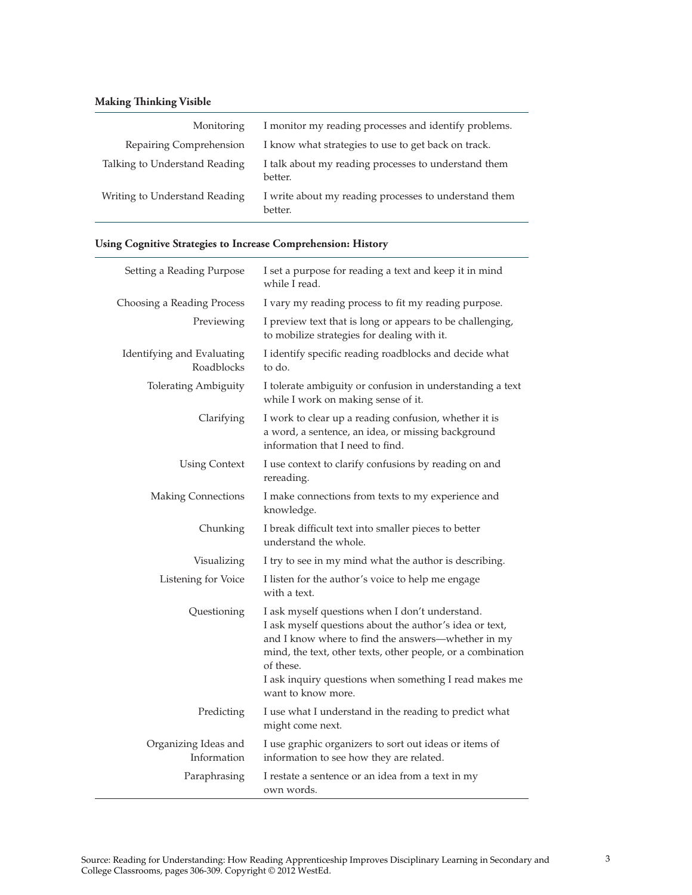### **Making Thinking Visible**

| Monitoring                    | I monitor my reading processes and identify problems.            |
|-------------------------------|------------------------------------------------------------------|
| Repairing Comprehension       | I know what strategies to use to get back on track.              |
| Talking to Understand Reading | I talk about my reading processes to understand them<br>better.  |
| Writing to Understand Reading | I write about my reading processes to understand them<br>better. |

### **Using Cognitive Strategies to Increase Comprehension: History**

| Setting a Reading Purpose                | I set a purpose for reading a text and keep it in mind<br>while I read.                                                                                                                                                                                                                                                      |
|------------------------------------------|------------------------------------------------------------------------------------------------------------------------------------------------------------------------------------------------------------------------------------------------------------------------------------------------------------------------------|
| Choosing a Reading Process               | I vary my reading process to fit my reading purpose.                                                                                                                                                                                                                                                                         |
| Previewing                               | I preview text that is long or appears to be challenging,<br>to mobilize strategies for dealing with it.                                                                                                                                                                                                                     |
| Identifying and Evaluating<br>Roadblocks | I identify specific reading roadblocks and decide what<br>to do.                                                                                                                                                                                                                                                             |
| <b>Tolerating Ambiguity</b>              | I tolerate ambiguity or confusion in understanding a text<br>while I work on making sense of it.                                                                                                                                                                                                                             |
| Clarifying                               | I work to clear up a reading confusion, whether it is<br>a word, a sentence, an idea, or missing background<br>information that I need to find.                                                                                                                                                                              |
| <b>Using Context</b>                     | I use context to clarify confusions by reading on and<br>rereading.                                                                                                                                                                                                                                                          |
| <b>Making Connections</b>                | I make connections from texts to my experience and<br>knowledge.                                                                                                                                                                                                                                                             |
| Chunking                                 | I break difficult text into smaller pieces to better<br>understand the whole.                                                                                                                                                                                                                                                |
| Visualizing                              | I try to see in my mind what the author is describing.                                                                                                                                                                                                                                                                       |
| Listening for Voice                      | I listen for the author's voice to help me engage<br>with a text.                                                                                                                                                                                                                                                            |
| Questioning                              | I ask myself questions when I don't understand.<br>I ask myself questions about the author's idea or text,<br>and I know where to find the answers-whether in my<br>mind, the text, other texts, other people, or a combination<br>of these.<br>I ask inquiry questions when something I read makes me<br>want to know more. |
| Predicting                               | I use what I understand in the reading to predict what<br>might come next.                                                                                                                                                                                                                                                   |
| Organizing Ideas and<br>Information      | I use graphic organizers to sort out ideas or items of<br>information to see how they are related.                                                                                                                                                                                                                           |
| Paraphrasing                             | I restate a sentence or an idea from a text in my<br>own words.                                                                                                                                                                                                                                                              |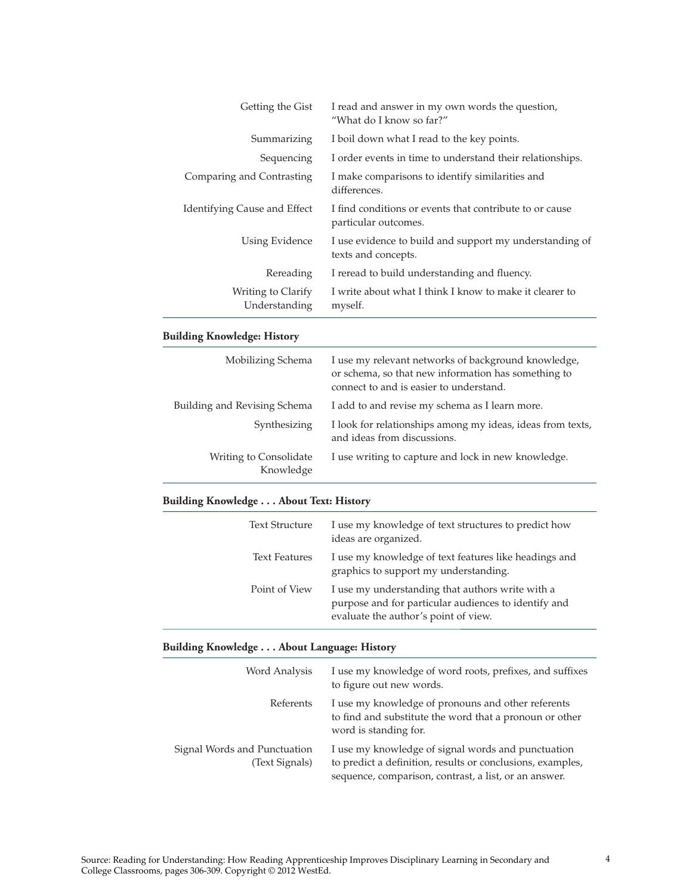| Getting the Gist                              | I read and answer in my own words the question,<br>"What do I know so far?"                                                                           |
|-----------------------------------------------|-------------------------------------------------------------------------------------------------------------------------------------------------------|
| Summarizing                                   | I boil down what I read to the key points.                                                                                                            |
| Sequencing                                    | I order events in time to understand their relationships.                                                                                             |
| Comparing and Contrasting                     | I make comparisons to identify similarities and<br>differences.                                                                                       |
| Identifying Cause and Effect                  | I find conditions or events that contribute to or cause<br>particular outcomes.                                                                       |
| Using Evidence                                | I use evidence to build and support my understanding of<br>texts and concepts.                                                                        |
| Rereading                                     | I reread to build understanding and fluency.                                                                                                          |
| Writing to Clarify<br>Understanding           | I write about what I think I know to make it clearer to<br>myself.                                                                                    |
| <b>Building Knowledge: History</b>            |                                                                                                                                                       |
| Mobilizing Schema                             | I use my relevant networks of background knowledge,<br>or schema, so that new information has something to<br>connect to and is easier to understand. |
| Building and Revising Schema                  | I add to and revise my schema as I learn more.                                                                                                        |
| Synthesizing                                  | I look for relationships among my ideas, ideas from texts,<br>and ideas from discussions.                                                             |
| Writing to Consolidate<br>Knowledge           | I use writing to capture and lock in new knowledge.                                                                                                   |
| <b>Building Knowledge About Text: History</b> |                                                                                                                                                       |
| <b>Text Structure</b>                         | I use my knowledge of text structures to predict how<br>ideas are organized.                                                                          |
| <b>Text Features</b>                          | I use my knowledge of text features like headings and<br>graphics to support my understanding.                                                        |
| Point of View                                 | I use my understanding that authors write with a<br>purpose and for particular audiences to identify and<br>evaluate the author's point of view.      |

## **Building Knowledge . . . About Language: History**

| Word Analysis                                  | I use my knowledge of word roots, prefixes, and suffixes<br>to figure out new words.                                                                                      |
|------------------------------------------------|---------------------------------------------------------------------------------------------------------------------------------------------------------------------------|
| Referents                                      | I use my knowledge of pronouns and other referents<br>to find and substitute the word that a pronoun or other<br>word is standing for.                                    |
| Signal Words and Punctuation<br>(Text Signals) | I use my knowledge of signal words and punctuation<br>to predict a definition, results or conclusions, examples,<br>sequence, comparison, contrast, a list, or an answer. |